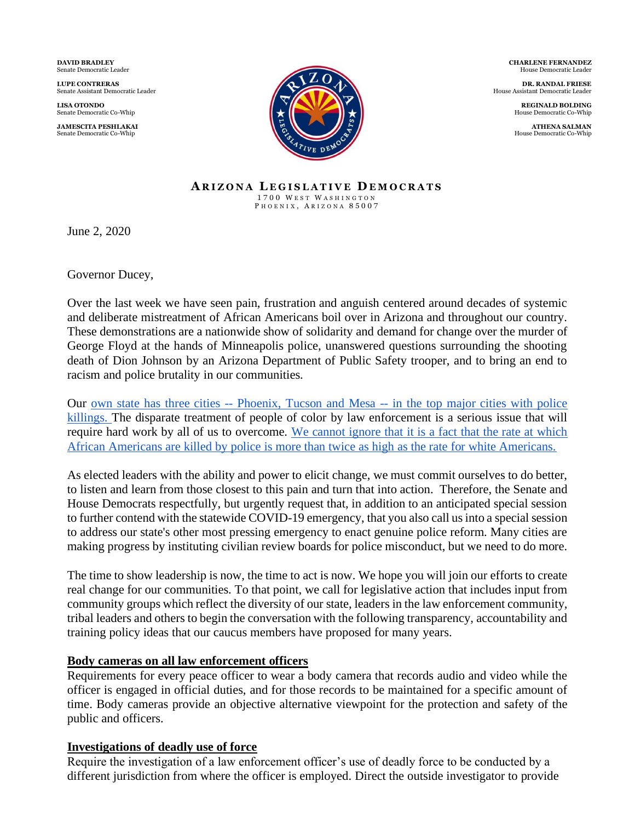**DAVID BRADLEY** Senate Democratic Leader

**LUPE CONTRERAS** Senate Assistant Democratic Leader

**LISA OTONDO** Senate Democratic Co-Whip

**JAMESCITA PESHLAKAI** Senate Democratic Co-Whip



 **CHARLENE FERNANDEZ** House Democratic Leader

**DR. RANDAL FRIESE** House Assistant Democratic Leader

> **REGINALD BOLDING** House Democratic Co-Whip

> **ATHENA SALMAN** House Democratic Co-Whip

#### **A R I Z O N A L E G I S L A T I V E D E M O C R A T S** 1700 WEST WASHINGTON P H O E N I X , A R I Z O N A 8 5 0 0 7

June 2, 2020

Governor Ducey,

Over the last week we have seen pain, frustration and anguish centered around decades of systemic and deliberate mistreatment of African Americans boil over in Arizona and throughout our country. These demonstrations are a nationwide show of solidarity and demand for change over the murder of George Floyd at the hands of Minneapolis police, unanswered questions surrounding the shooting death of Dion Johnson by an Arizona Department of Public Safety trooper, and to bring an end to racism and police brutality in our communities.

Our own state has three cities -- Phoenix, Tucson and Mesa -- [in the top major cities with police](https://www.security.org/resources/police-brutality-statistics/)  [killings. T](https://www.security.org/resources/police-brutality-statistics/)he disparate treatment of people of color by law enforcement is a serious issue that will require hard work by all of us to overcome. [We cannot ignore that it is a fact that the rate at which](https://www.washingtonpost.com/graphics/investigations/police-shootings-database/)  [African Americans are killed by police is more than twice as high as the rate for white Americans.](https://www.washingtonpost.com/graphics/investigations/police-shootings-database/)

As elected leaders with the ability and power to elicit change, we must commit ourselves to do better, to listen and learn from those closest to this pain and turn that into action. Therefore, the Senate and House Democrats respectfully, but urgently request that, in addition to an anticipated special session to further contend with the statewide COVID-19 emergency, that you also call us into a special session to address our state's other most pressing emergency to enact genuine police reform. Many cities are making progress by instituting civilian review boards for police misconduct, but we need to do more.

The time to show leadership is now, the time to act is now. We hope you will join our efforts to create real change for our communities. To that point, we call for legislative action that includes input from community groups which reflect the diversity of our state, leaders in the law enforcement community, tribal leaders and others to begin the conversation with the following transparency, accountability and training policy ideas that our caucus members have proposed for many years.

## **Body cameras on all law enforcement officers**

Requirements for every peace officer to wear a body camera that records audio and video while the officer is engaged in official duties, and for those records to be maintained for a specific amount of time. Body cameras provide an objective alternative viewpoint for the protection and safety of the public and officers.

# **Investigations of deadly use of force**

Require the investigation of a law enforcement officer's use of deadly force to be conducted by a different jurisdiction from where the officer is employed. Direct the outside investigator to provide